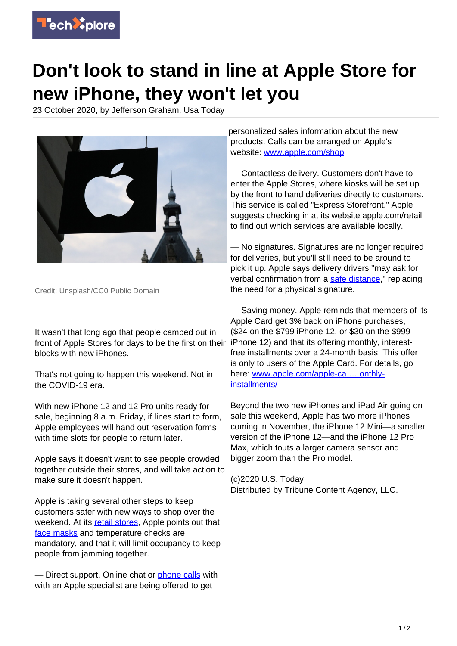

## **Don't look to stand in line at Apple Store for new iPhone, they won't let you**

23 October 2020, by Jefferson Graham, Usa Today



Credit: Unsplash/CC0 Public Domain

It wasn't that long ago that people camped out in front of Apple Stores for days to be the first on their blocks with new iPhones.

That's not going to happen this weekend. Not in the COVID-19 era.

With new iPhone 12 and 12 Pro units ready for sale, beginning 8 a.m. Friday, if lines start to form, Apple employees will hand out reservation forms with time slots for people to return later.

Apple says it doesn't want to see people crowded together outside their stores, and will take action to make sure it doesn't happen.

Apple is taking several other steps to keep customers safer with new ways to shop over the weekend. At its [retail stores,](https://techxplore.com/tags/retail+stores/) Apple points out that [face masks](https://techxplore.com/tags/face+masks/) and temperature checks are mandatory, and that it will limit occupancy to keep people from jamming together.

— Direct support. Online chat or [phone calls](https://techxplore.com/tags/phone+calls/) with with an Apple specialist are being offered to get

personalized sales information about the new products. Calls can be arranged on Apple's website: [www.apple.com/shop](https://www.apple.com/shop)

— Contactless delivery. Customers don't have to enter the Apple Stores, where kiosks will be set up by the front to hand deliveries directly to customers. This service is called "Express Storefront." Apple suggests checking in at its website apple.com/retail to find out which services are available locally.

— No signatures. Signatures are no longer required for deliveries, but you'll still need to be around to pick it up. Apple says delivery drivers "may ask for verbal confirmation from a [safe distance](https://techxplore.com/tags/safe+distance/)," replacing the need for a physical signature.

— Saving money. Apple reminds that members of its Apple Card get 3% back on iPhone purchases, (\$24 on the \$799 iPhone 12, or \$30 on the \$999 iPhone 12) and that its offering monthly, interestfree installments over a 24-month basis. This offer is only to users of the Apple Card. For details, go here: [www.apple.com/](https://www.apple.com/a href=)[apple](https://techxplore.com/tags/apple/)-ca … onthlyinstallments/

Beyond the two new iPhones and iPad Air going on sale this weekend, Apple has two more iPhones coming in November, the iPhone 12 Mini—a smaller version of the iPhone 12—and the iPhone 12 Pro Max, which touts a larger camera sensor and bigger zoom than the Pro model.

(c)2020 U.S. Today Distributed by Tribune Content Agency, LLC.